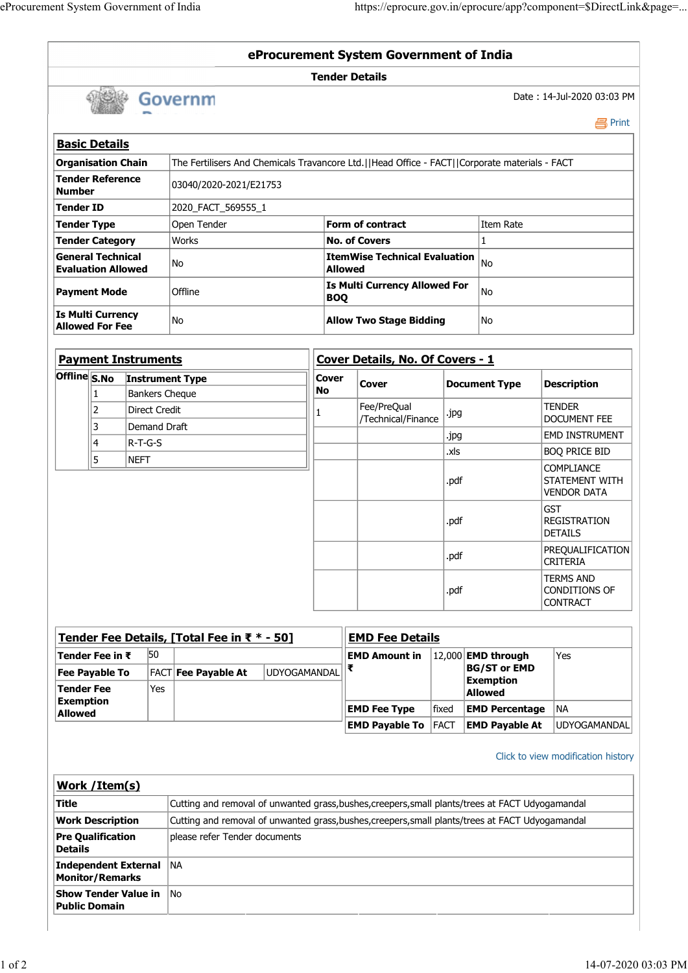|               | eProcurement System Government of India               |                                        |                                                                                               |                                                                 | https://eprocure.gov.in/eprocure/app?component=\$DirectLink&page= |      |                      |                                                           |  |
|---------------|-------------------------------------------------------|----------------------------------------|-----------------------------------------------------------------------------------------------|-----------------------------------------------------------------|-------------------------------------------------------------------|------|----------------------|-----------------------------------------------------------|--|
|               |                                                       |                                        |                                                                                               |                                                                 |                                                                   |      |                      |                                                           |  |
|               |                                                       |                                        |                                                                                               |                                                                 |                                                                   |      |                      |                                                           |  |
|               |                                                       |                                        |                                                                                               |                                                                 |                                                                   |      |                      |                                                           |  |
|               |                                                       |                                        |                                                                                               |                                                                 |                                                                   |      |                      |                                                           |  |
|               |                                                       |                                        |                                                                                               |                                                                 |                                                                   |      |                      |                                                           |  |
|               |                                                       |                                        |                                                                                               |                                                                 |                                                                   |      |                      |                                                           |  |
|               |                                                       |                                        |                                                                                               |                                                                 |                                                                   |      |                      |                                                           |  |
|               |                                                       |                                        |                                                                                               |                                                                 |                                                                   |      |                      |                                                           |  |
|               |                                                       |                                        |                                                                                               |                                                                 |                                                                   |      |                      |                                                           |  |
|               |                                                       |                                        |                                                                                               |                                                                 |                                                                   |      |                      |                                                           |  |
|               |                                                       |                                        |                                                                                               |                                                                 |                                                                   |      |                      |                                                           |  |
|               |                                                       |                                        |                                                                                               |                                                                 |                                                                   |      |                      |                                                           |  |
|               |                                                       |                                        |                                                                                               |                                                                 | eProcurement System Government of India                           |      |                      |                                                           |  |
|               |                                                       |                                        |                                                                                               | <b>Tender Details</b>                                           |                                                                   |      |                      |                                                           |  |
|               |                                                       | Governm                                |                                                                                               |                                                                 |                                                                   |      |                      | Date: 14-Jul-2020 03:03 PM<br><b>昌</b> Print              |  |
|               | <b>Basic Details</b>                                  |                                        |                                                                                               |                                                                 |                                                                   |      |                      |                                                           |  |
|               | <b>Organisation Chain</b>                             |                                        | The Fertilisers And Chemicals Travancore Ltd.  Head Office - FACT  Corporate materials - FACT |                                                                 |                                                                   |      |                      |                                                           |  |
| <b>Number</b> | <b>Tender Reference</b>                               | 03040/2020-2021/E21753                 |                                                                                               |                                                                 |                                                                   |      |                      |                                                           |  |
|               | <b>Tender ID</b>                                      | 2020_FACT_569555_1                     |                                                                                               |                                                                 |                                                                   |      |                      |                                                           |  |
|               | Tender Type                                           | Open Tender                            |                                                                                               | Form of contract                                                |                                                                   |      | Item Rate            |                                                           |  |
|               | <b>Tender Category</b>                                | Works                                  |                                                                                               | <b>No. of Covers</b>                                            |                                                                   |      | $\mathbf{1}$         |                                                           |  |
|               | <b>General Technical</b><br><b>Evaluation Allowed</b> | No                                     |                                                                                               | <b>ItemWise Technical Evaluation</b> $ _{No}$<br><b>Allowed</b> |                                                                   |      |                      |                                                           |  |
|               | <b>Payment Mode</b>                                   | Offline                                |                                                                                               | <b>BOQ</b>                                                      | Is Multi Currency Allowed For                                     |      | No                   |                                                           |  |
|               | <b>Is Multi Currency</b><br><b>Allowed For Fee</b>    | No                                     |                                                                                               |                                                                 | <b>Allow Two Stage Bidding</b>                                    |      | No                   |                                                           |  |
|               |                                                       |                                        |                                                                                               |                                                                 |                                                                   |      |                      |                                                           |  |
|               | <b>Payment Instruments</b>                            |                                        |                                                                                               |                                                                 | Cover Details, No. Of Covers - 1                                  |      |                      |                                                           |  |
|               | Offline S.No Instrument Type                          |                                        | No                                                                                            | <b>Cover</b>                                                    | Cover                                                             |      | <b>Document Type</b> | <b>Description</b>                                        |  |
|               | $\vert$ 1<br>2                                        | Bankers Cheque<br><b>Direct Credit</b> |                                                                                               |                                                                 | Fee/PreQual<br>/Technical/Finance                                 | .jpg |                      | <b>TENDER</b><br><b>DOCUMENT FEE</b>                      |  |
|               | 3                                                     | Demand Draft                           |                                                                                               |                                                                 |                                                                   | .jpg |                      | EMD INSTRUMENT                                            |  |
|               |                                                       | $R-T-G-S$                              |                                                                                               |                                                                 |                                                                   | .xls |                      | <b>BOQ PRICE BID</b>                                      |  |
|               | 4                                                     |                                        |                                                                                               |                                                                 |                                                                   | .pdf |                      | <b>COMPLIANCE</b><br>STATEMENT WITH<br><b>VENDOR DATA</b> |  |
|               | 5<br>NEFT                                             |                                        |                                                                                               |                                                                 |                                                                   |      |                      |                                                           |  |

|                         | Tender Fee Details, [Total Fee in ₹ $*$ - 50] |                            | <b>EMD Fee Details</b> |                            |       |                             |              |
|-------------------------|-----------------------------------------------|----------------------------|------------------------|----------------------------|-------|-----------------------------|--------------|
| $\sf I$ Tender Fee in ₹ | 50                                            |                            |                        | EMD Amount in              |       | $ 12,000 $ EMD through      | Yes          |
| Fee Payable To          |                                               | <b>FACT Fee Payable At</b> | UDYOGAMANDAL           |                            |       | BG/ST or EMD                |              |
| Tender Fee              | Yes                                           |                            |                        |                            |       | Exemption<br><b>Allowed</b> |              |
| Exemption<br>Allowed    |                                               |                            |                        | <b>EMD Fee Type</b>        | fixed | <b>EMD Percentage</b> INA   |              |
|                         |                                               |                            |                        | <b>EMD Pavable To FACT</b> |       | <b>EMD Pavable At</b>       | UDYOGAMANDAL |

DETAILS

CRITERIA

TERMS AND

CONTRACT

.pdf PREQUALIFICATION

| <b>Exemption</b><br>Yes<br><b>Tender Fee</b><br><b>Allowed</b><br><b>Exemption</b><br><b>EMD Percentage NA</b><br><b>EMD Fee Type</b><br>fixed<br><b>Allowed</b><br><b>EMD Payable To FACT</b><br><b>EMD Payable At</b> |                                    |
|-------------------------------------------------------------------------------------------------------------------------------------------------------------------------------------------------------------------------|------------------------------------|
|                                                                                                                                                                                                                         |                                    |
|                                                                                                                                                                                                                         |                                    |
|                                                                                                                                                                                                                         | UDYOGAMANDAL                       |
|                                                                                                                                                                                                                         | Click to view modification history |
| Work /Item(s)                                                                                                                                                                                                           |                                    |
| Cutting and removal of unwanted grass, bushes, creepers, small plants/trees at FACT Udyogamandal<br><b>Title</b>                                                                                                        |                                    |
| Cutting and removal of unwanted grass, bushes, creepers, small plants/trees at FACT Udyogamandal<br><b>Work Description</b>                                                                                             |                                    |
| <b>Pre Qualification</b><br>please refer Tender documents<br>Details                                                                                                                                                    |                                    |
| Independent External NA<br><b>Monitor/Remarks</b>                                                                                                                                                                       |                                    |
| Show Tender Value in No<br><b>Public Domain</b>                                                                                                                                                                         |                                    |

.pdf CONDITIONS OF